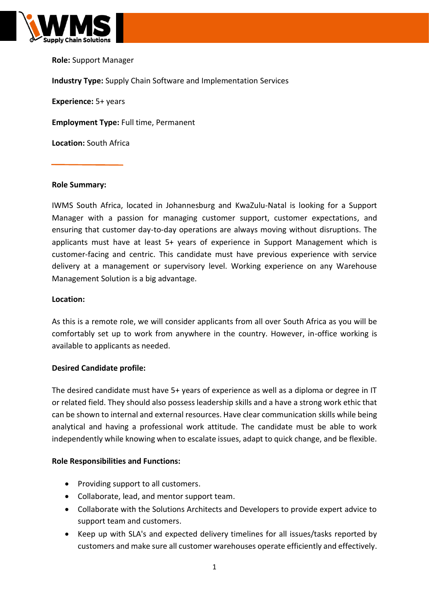

**Role:** Support Manager **Industry Type:** Supply Chain Software and Implementation Services **Experience:** 5+ years **Employment Type:** Full time, Permanent **Location:** South Africa

#### **Role Summary:**

IWMS South Africa, located in Johannesburg and KwaZulu-Natal is looking for a Support Manager with a passion for managing customer support, customer expectations, and ensuring that customer day-to-day operations are always moving without disruptions. The applicants must have at least 5+ years of experience in Support Management which is customer-facing and centric. This candidate must have previous experience with service delivery at a management or supervisory level. Working experience on any Warehouse Management Solution is a big advantage.

#### **Location:**

As this is a remote role, we will consider applicants from all over South Africa as you will be comfortably set up to work from anywhere in the country. However, in-office working is available to applicants as needed.

## **Desired Candidate profile:**

The desired candidate must have 5+ years of experience as well as a diploma or degree in IT or related field. They should also possess leadership skills and a have a strong work ethic that can be shown to internal and external resources. Have clear communication skills while being analytical and having a professional work attitude. The candidate must be able to work independently while knowing when to escalate issues, adapt to quick change, and be flexible.

## **Role Responsibilities and Functions:**

- Providing support to all customers.
- Collaborate, lead, and mentor support team.
- Collaborate with the Solutions Architects and Developers to provide expert advice to support team and customers.
- Keep up with SLA's and expected delivery timelines for all issues/tasks reported by customers and make sure all customer warehouses operate efficiently and effectively.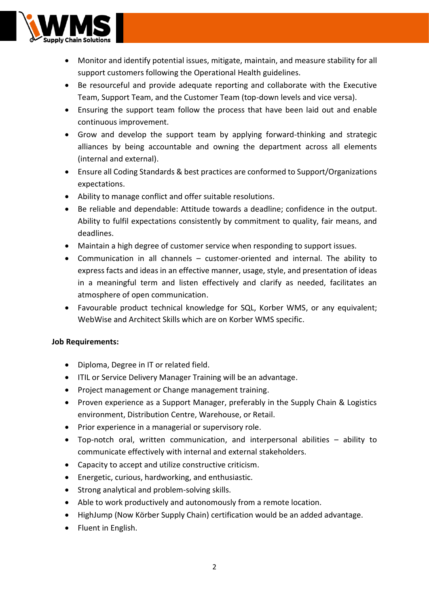

- Monitor and identify potential issues, mitigate, maintain, and measure stability for all support customers following the Operational Health guidelines.
- Be resourceful and provide adequate reporting and collaborate with the Executive Team, Support Team, and the Customer Team (top-down levels and vice versa).
- Ensuring the support team follow the process that have been laid out and enable continuous improvement.
- Grow and develop the support team by applying forward-thinking and strategic alliances by being accountable and owning the department across all elements (internal and external).
- Ensure all Coding Standards & best practices are conformed to Support/Organizations expectations.
- Ability to manage conflict and offer suitable resolutions.
- Be reliable and dependable: Attitude towards a deadline; confidence in the output. Ability to fulfil expectations consistently by commitment to quality, fair means, and deadlines.
- Maintain a high degree of customer service when responding to support issues.
- Communication in all channels customer-oriented and internal. The ability to express facts and ideas in an effective manner, usage, style, and presentation of ideas in a meaningful term and listen effectively and clarify as needed, facilitates an atmosphere of open communication.
- Favourable product technical knowledge for SQL, Korber WMS, or any equivalent; WebWise and Architect Skills which are on Korber WMS specific.

# **Job Requirements:**

- Diploma, Degree in IT or related field.
- ITIL or Service Delivery Manager Training will be an advantage.
- Project management or Change management training.
- Proven experience as a Support Manager, preferably in the Supply Chain & Logistics environment, Distribution Centre, Warehouse, or Retail.
- Prior experience in a managerial or supervisory role.
- Top-notch oral, written communication, and interpersonal abilities ability to communicate effectively with internal and external stakeholders.
- Capacity to accept and utilize constructive criticism.
- Energetic, curious, hardworking, and enthusiastic.
- Strong analytical and problem-solving skills.
- Able to work productively and autonomously from a remote location.
- HighJump (Now Körber Supply Chain) certification would be an added advantage.
- Fluent in English.